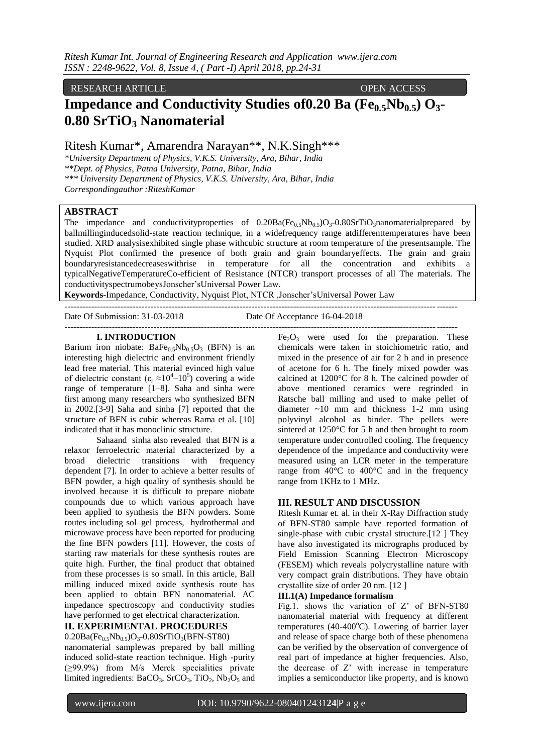#### RESEARCH ARTICLE **CONSERVANCE OPEN ACCESS**

# **Impedance and Conductivity Studies of0.20 Ba (Fe0.5Nb0.5) O3- 0.80 SrTiO<sup>3</sup> Nanomaterial**

Ritesh Kumar\*, Amarendra Narayan\*\*, N.K.Singh\*\*\*

*\*University Department of Physics, V.K.S. University, Ara, Bihar, India \*\*Dept. of Physics, Patna University, Patna, Bihar, India \*\*\* University Department of Physics, V.K.S. University, Ara, Bihar, India Correspondingauthor :RiteshKumar*

# **ABSTRACT**

The impedance and conductivityproperties of  $0.20Ba(Fe<sub>0.5</sub>Nb<sub>0.5</sub>)O<sub>3</sub>-0.80SrTiO<sub>3</sub>nanomaticial prepared by$ ballmillinginducedsolid-state reaction technique, in a widefrequency range atdifferenttemperatures have been studied. XRD analysisexhibited single phase withcubic structure at room temperature of the presentsample. The Nyquist Plot confirmed the presence of both grain and grain boundaryeffects. The grain and grain boundaryresistancedecreaseswithrise in temperature for all the concentration and exhibits a typicalNegativeTemperatureCo-efficient of Resistance (NTCR) transport processes of all The materials. The conductivityspectrumobeysJonscher'sUniversal Power Law.

**Keywords**-Impedance, Conductivity, Nyquist Plot, NTCR ,Jonscher'sUniversal Power Law

------------------------------------------------------------------------------------------------------------------------------------

------------------------------------------------------------------------------------------------------------------------------------

Date Of Submission: 31-03-2018 Date Of Acceptance 16-04-2018

#### **I. INTRODUCTION**

Barium iron niobate:  $BaFe_{0.5}Nb_{0.5}O_3$  (BFN) is an interesting high dielectric and environment friendly lead free material. This material evinced high value of dielectric constant  $(\epsilon_r \approx 10^4 - 10^5)$  covering a wide range of temperature [1–8]. Saha and sinha were first among many researchers who synthesized BFN in 2002.[3-9] Saha and sinha [7] reported that the structure of BFN is cubic whereas Rama et al. [10] indicated that it has monoclinic structure.

Sahaand sinha also revealed that BFN is a relaxor ferroelectric material characterized by a broad dielectric transitions with frequency dependent [7]. In order to achieve a better results of BFN powder, a high quality of synthesis should be involved because it is difficult to prepare niobate compounds due to which various approach have been applied to synthesis the BFN powders. Some routes including sol–gel process, hydrothermal and microwave process have been reported for producing the fine BFN powders [11]. However, the costs of starting raw materials for these synthesis routes are quite high. Further, the final product that obtained from these processes is so small. In this article, Ball milling induced mixed oxide synthesis route has been applied to obtain BFN nanomaterial. AC impedance spectroscopy and conductivity studies have performed to get electrical characterization.

### **II. EXPERIMENTAL PROCEDURES**

 $0.20Ba(Fe<sub>0.5</sub>Nb<sub>0.5</sub>)O<sub>3</sub> - 0.80SrTiO<sub>3</sub>(BFN-ST80)$ nanomaterial samplewas prepared by ball milling induced solid-state reaction technique. High -purity (≥99.9%) from M/s Merck specialities private limited ingredients:  $BaCO<sub>3</sub>$ ,  $SrCO<sub>3</sub>$ ,  $TiO<sub>2</sub>$ ,  $Nb<sub>2</sub>O<sub>5</sub>$  and

 $Fe<sub>2</sub>O<sub>3</sub>$  were used for the preparation. These chemicals were taken in stoichiometric ratio, and mixed in the presence of air for 2 h and in presence of acetone for 6 h. The finely mixed powder was calcined at 1200°C for 8 h. The calcined powder of above mentioned ceramics were regrinded in Ratsche ball milling and used to make pellet of diameter ~10 mm and thickness 1-2 mm using polyvinyl alcohol as binder. The pellets were sintered at 1250°C for 5 h and then brought to room temperature under controlled cooling. The frequency dependence of the impedance and conductivity were measured using an LCR meter in the temperature range from 40°C to 400°C and in the frequency range from 1KHz to 1 MHz.

#### **III. RESULT AND DISCUSSION**

Ritesh Kumar et. al. in their X-Ray Diffraction study of BFN-ST80 sample have reported formation of single-phase with cubic crystal structure.[12 ] They have also investigated its micrographs produced by Field Emission Scanning Electron Microscopy (FESEM) which reveals polycrystalline nature with very compact grain distributions. They have obtain crystallite size of order 20 nm. [12 ]

#### **III.1(A) Impedance formalism**

Fig.1. shows the variation of Z' of BFN-ST80 nanomaterial material with frequency at different temperatures (40-400 $^{\circ}$ C). Lowering of barrier layer and release of space charge both of these phenomena can be verified by the observation of convergence of real part of impedance at higher frequencies. Also, the decrease of Z' with increase in temperature implies a semiconductor like property, and is known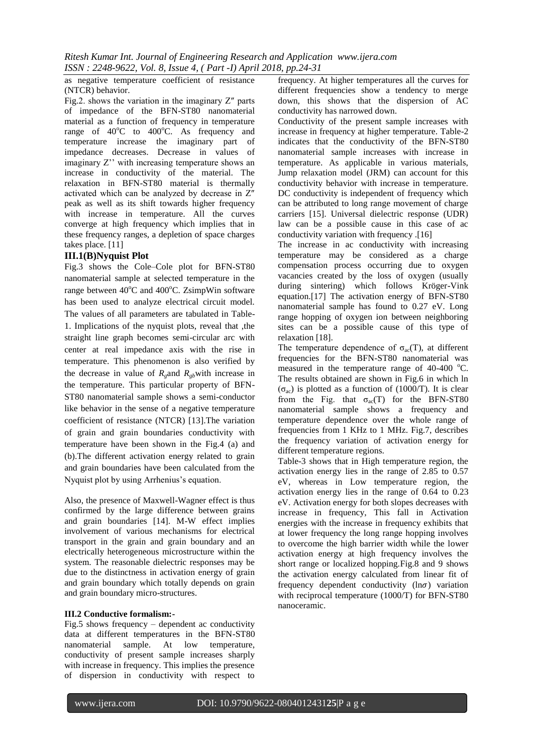as negative temperature coefficient of resistance (NTCR) behavior.

Fig.2. shows the variation in the imaginary  $Z''$  parts of impedance of the BFN-ST80 nanomaterial material as a function of frequency in temperature range of  $40^{\circ}$ C to  $400^{\circ}$ C. As frequency and temperature increase the imaginary part of impedance decreases. Decrease in values of imaginary Z'' with increasing temperature shows an increase in conductivity of the material. The relaxation in BFN-ST80 material is thermally activated which can be analyzed by decrease in Z″ peak as well as its shift towards higher frequency with increase in temperature. All the curves converge at high frequency which implies that in these frequency ranges, a depletion of space charges takes place. [11]

# **III.1(B)Nyquist Plot**

Fig.3 shows the Cole–Cole plot for BFN-ST80 nanomaterial sample at selected temperature in the range between  $40^{\circ}$ C and  $400^{\circ}$ C. ZsimpWin software has been used to analyze electrical circuit model. The values of all parameters are tabulated in Table-1. Implications of the nyquist plots, reveal that ,the straight line graph becomes semi-circular arc with center at real impedance axis with the rise in temperature. This phenomenon is also verified by the decrease in value of  $R_{\rho}$ and  $R_{\rho}$ with increase in the temperature. This particular property of BFN-ST80 nanomaterial sample shows a semi-conductor like behavior in the sense of a negative temperature coefficient of resistance (NTCR) [13].The variation of grain and grain boundaries conductivity with temperature have been shown in the Fig.4 (a) and (b).The different activation energy related to grain and grain boundaries have been calculated from the Nyquist plot by using Arrhenius's equation.

Also, the presence of Maxwell-Wagner effect is thus confirmed by the large difference between grains and grain boundaries [14]. M-W effect implies involvement of various mechanisms for electrical transport in the grain and grain boundary and an electrically heterogeneous microstructure within the system. The reasonable dielectric responses may be due to the distinctness in activation energy of grain and grain boundary which totally depends on grain and grain boundary micro-structures.

# **III.2 Conductive formalism:-**

Fig.5 shows frequency – dependent ac conductivity data at different temperatures in the BFN-ST80 nanomaterial sample. At low temperature, conductivity of present sample increases sharply with increase in frequency. This implies the presence of dispersion in conductivity with respect to

frequency. At higher temperatures all the curves for different frequencies show a tendency to merge down, this shows that the dispersion of AC conductivity has narrowed down.

Conductivity of the present sample increases with increase in frequency at higher temperature. Table-2 indicates that the conductivity of the BFN-ST80 nanomaterial sample increases with increase in temperature. As applicable in various materials, Jump relaxation model (JRM) can account for this conductivity behavior with increase in temperature. DC conductivity is independent of frequency which can be attributed to long range movement of charge carriers [15]. Universal dielectric response (UDR) law can be a possible cause in this case of ac conductivity variation with frequency .[16]

The increase in ac conductivity with increasing temperature may be considered as a charge compensation process occurring due to oxygen vacancies created by the loss of oxygen (usually during sintering) which follows Kröger-Vink equation.[17] The activation energy of BFN-ST80 nanomaterial sample has found to 0.27 eV. Long range hopping of oxygen ion between neighboring sites can be a possible cause of this type of relaxation [18].

The temperature dependence of  $\sigma_{ac}(T)$ , at different frequencies for the BFN-ST80 nanomaterial was measured in the temperature range of  $40-400$  °C. The results obtained are shown in Fig.6 in which ln  $(\sigma_{ac})$  is plotted as a function of (1000/T). It is clear from the Fig. that  $\sigma_{ac}(T)$  for the BFN-ST80 nanomaterial sample shows a frequency and temperature dependence over the whole range of frequencies from 1 KHz to 1 MHz. Fig.7, describes the frequency variation of activation energy for different temperature regions.

Table-3 shows that in High temperature region, the activation energy lies in the range of 2.85 to 0.57 eV, whereas in Low temperature region, the activation energy lies in the range of 0.64 to 0.23 eV. Activation energy for both slopes decreases with increase in frequency, This fall in Activation energies with the increase in frequency exhibits that at lower frequency the long range hopping involves to overcome the high barrier width while the lower activation energy at high frequency involves the short range or localized hopping.Fig.8 and 9 shows the activation energy calculated from linear fit of frequency dependent conductivity  $(ln \sigma)$  variation with reciprocal temperature (1000/T) for BFN-ST80 nanoceramic.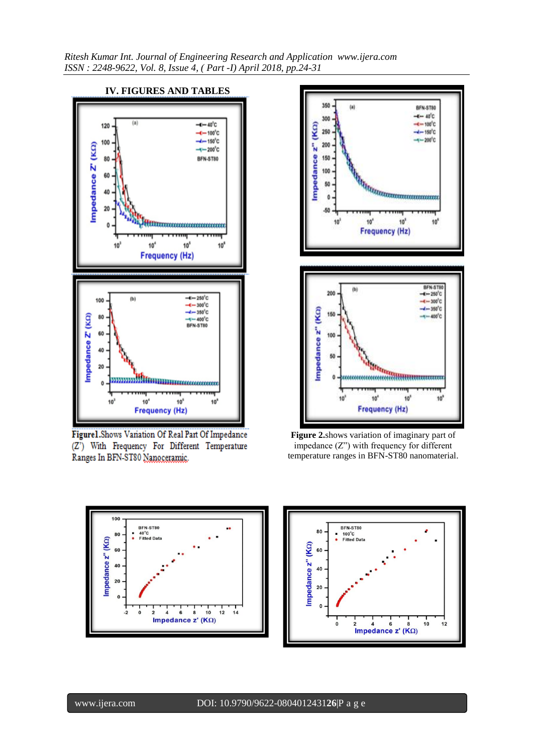*Ritesh Kumar Int. Journal of Engineering Research and Application www.ijera.com ISSN : 2248-9622, Vol. 8, Issue 4, ( Part -I) April 2018, pp.24-31*



Figurel.Shows Variation Of Real Part Of Impedance (Z') With Frequency For Different Temperature Ranges In BFN-ST80 Nanoceramic.



**Figure 2.**shows variation of imaginary part of impedance (Z") with frequency for different temperature ranges in BFN-ST80 nanomaterial.



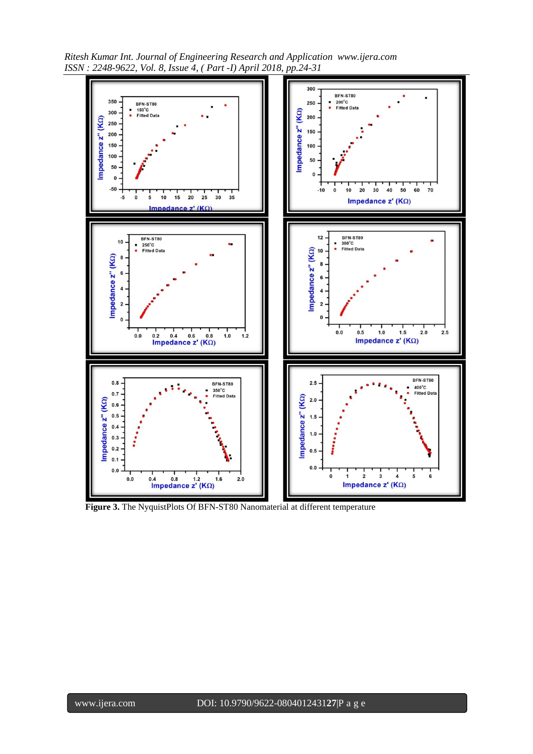*Ritesh Kumar Int. Journal of Engineering Research and Application www.ijera.com ISSN : 2248-9622, Vol. 8, Issue 4, ( Part -I) April 2018, pp.24-31*



**Figure 3.** The NyquistPlots Of BFN-ST80 Nanomaterial at different temperature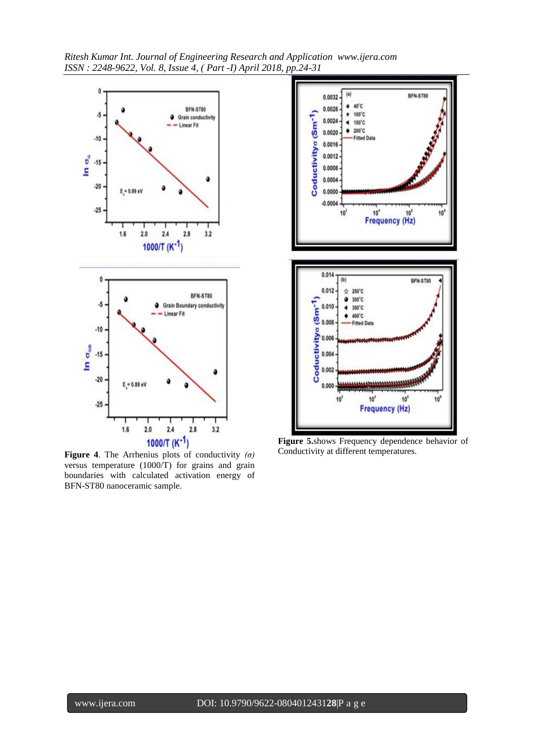



**Figure 4**. The Arrhenius plots of conductivity *(σ)*  versus temperature (1000/T) for grains and grain boundaries with calculated activation energy of BFN-ST80 nanoceramic sample.



**Figure 5.**shows Frequency dependence behavior of Conductivity at different temperatures.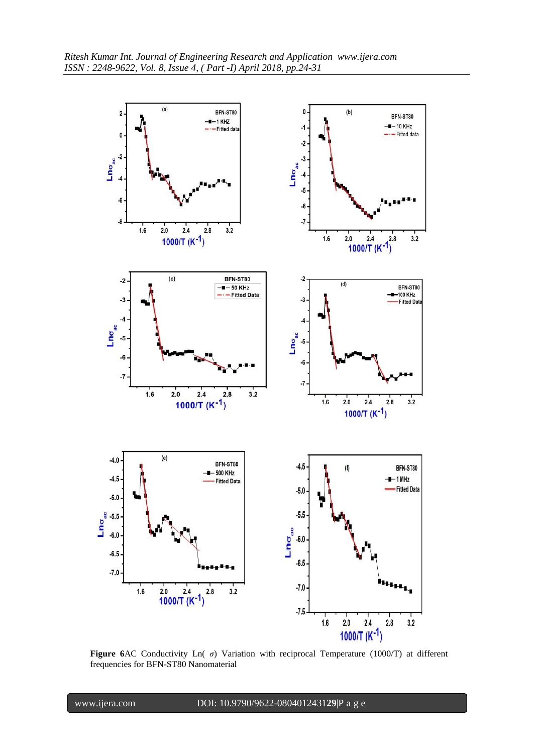

**Figure 6**AC Conductivity Ln( *σ*) Variation with reciprocal Temperature (1000/T) at different frequencies for BFN-ST80 Nanomaterial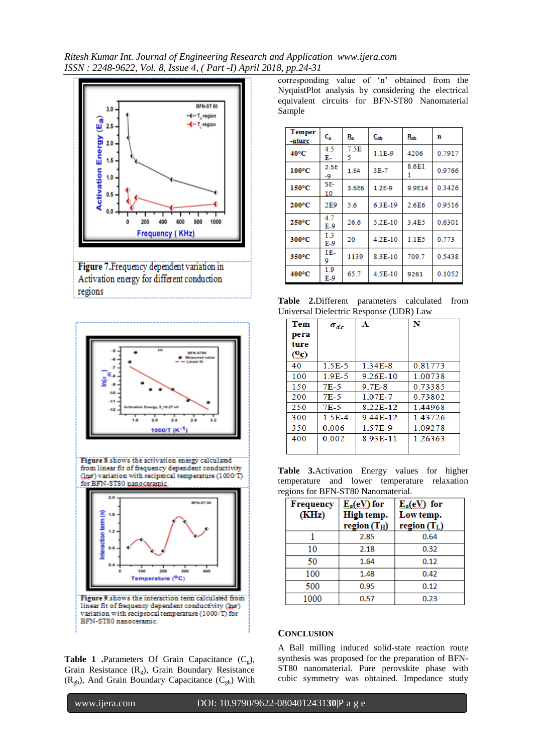*Ritesh Kumar Int. Journal of Engineering Research and Application www.ijera.com ISSN : 2248-9622, Vol. 8, Issue 4, ( Part -I) April 2018, pp.24-31*





Figure 8 shows the activation energy calculated from linear fit of frequency dependent conductivity (Inp) variation with reciprocal temperature (1000/T) for BFN-ST80 nanoceranic



**Table 1** .Parameters Of Grain Capacitance  $(C_g)$ , Grain Resistance  $(R_g)$ , Grain Boundary Resistance  $(R_{gb})$ , And Grain Boundary Capacitance  $(C_{gb})$  With corresponding value of 'n' obtained from the NyquistPlot analysis by considering the electrical equivalent circuits for BFN-ST80 Nanomaterial Sample

| <b>Temper</b><br>-ature | $C_{\rm g}$  | ß.        | $C_{\rm sub}$ | $R_{\rm sh}$ | n      |
|-------------------------|--------------|-----------|---------------|--------------|--------|
| $40^{\circ}$ C          | 4.5<br>Е.    | 7.5E<br>5 | $1.1E-9$      | 4206         | 0.7917 |
| $100^{\circ}$ C         | 2.5E<br>-9   | 1.E4      | 3E-7          | 8.6E1<br>1   | 0.9766 |
| $150^{\circ}$ C         | 5E-<br>10    | 3.6E6     | $1.2E-9$      | 9.9E14       | 0.3426 |
| $200^{\circ}$ C         | 2E9          | 5.6       | 6.3E-19       | 2.6E6        | 0.9516 |
| 250°C                   | 4.7<br>$E-9$ | 26.6      | 5.2E-10       | 3.4E5        | 0.6301 |
| 300°C                   | 1.3<br>E-9   | 20        | 4.2E-10       | 1.1E5        | 0.773  |
| 350°C                   | 1E-<br>9     | 1139      | 8.3E-10       | 709.7        | 0.5438 |
| 400°C                   | 1.9<br>E-9   | 65.7      | 4.5E-10       | 9261         | 0.1052 |

**Table 2.**Different parameters calculated from Universal Dielectric Response (UDR) Law

| <b>Tem</b><br>pera<br>ture<br>CO. | $\sigma_{dc}$ | А        | N       |
|-----------------------------------|---------------|----------|---------|
| 40                                | 1.5E-5        | 1.34E-8  | 0.81773 |
| 100                               | $1.9E-5$      | 9.26E-10 | 1.00738 |
| 150                               | 7E-5          | 9.7E-8   | 0.73385 |
| 200                               | 7E-5          | 1 07E-7  | 0.73802 |
| 250                               | 7E-5          | 8.22E-12 | 144968  |
| 300                               | $1.5E-4$      | 944E-12  | 143726  |
| 350                               | 0.006         | 1.57E-9  | 1.09278 |
| 400                               | 0.002         | 8.93E-11 | 1.26363 |

|                                    |  |  |  |  |  | Table 3. Activation Energy values for higher |  |  |
|------------------------------------|--|--|--|--|--|----------------------------------------------|--|--|
|                                    |  |  |  |  |  | temperature and lower temperature relaxation |  |  |
| regions for BFN-ST80 Nanomaterial. |  |  |  |  |  |                                              |  |  |

| <b>Frequency</b><br>(KHz) | $E_a (eV)$ for<br>High temp.<br>region(T <sub>H</sub> ) | $E_a(eV)$ for<br>Low temp.<br>region(T <sub>L</sub> ) |
|---------------------------|---------------------------------------------------------|-------------------------------------------------------|
|                           | 2.85                                                    | 0.64                                                  |
| 10                        | 2.18                                                    | 0.32                                                  |
| 50                        | 1.64                                                    | 0.12                                                  |
| 100                       | 1.48                                                    | 0.42                                                  |
| 500                       | 0.95                                                    | 0.12                                                  |
| 1000                      | 0.57                                                    | 0.23                                                  |

## **CONCLUSION**

A Ball milling induced solid-state reaction route synthesis was proposed for the preparation of BFN-ST80 nanomaterial. Pure perovskite phase with cubic symmetry was obtained. Impedance study